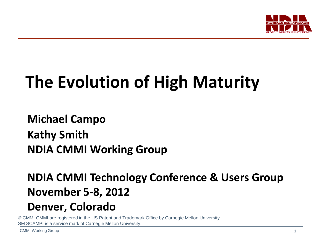

# **The Evolution of High Maturity**

**Michael Campo Kathy Smith NDIA CMMI Working Group**

### **NDIA CMMI Technology Conference & Users Group November 5-8, 2012**

### **Denver, Colorado**

® CMM, CMMI are registered in the US Patent and Trademark Office by Carnegie Mellon University SM SCAMPI is a service mark of Carnegie Mellon University.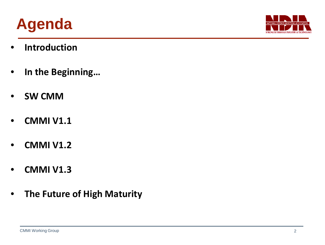



- **Introduction**
- **In the Beginning…**
- **SW CMM**
- **CMMI V1.1**
- **CMMI V1.2**
- **CMMI V1.3**
- **The Future of High Maturity**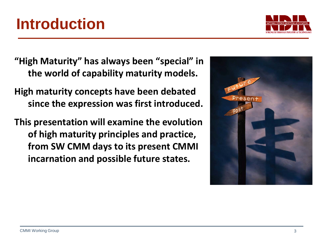### **Introduction**

**"High Maturity" has always been "special" in the world of capability maturity models.**

**High maturity concepts have been debated since the expression was first introduced.**

**This presentation will examine the evolution of high maturity principles and practice, from SW CMM days to its present CMMI incarnation and possible future states.**



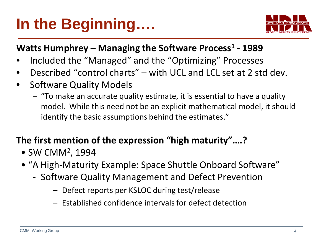## **In the Beginning….**



### **Watts Humphrey – Managing the Software Process1 - 1989**

- Included the "Managed" and the "Optimizing" Processes
- Described "control charts" with UCL and LCL set at 2 std dev.
- Software Quality Models
	- − "To make an accurate quality estimate, it is essential to have a quality model. While this need not be an explicit mathematical model, it should identify the basic assumptions behind the estimates."

### **The first mention of the expression "high maturity"….?**

- SW CMM2 , 1994
- "A High-Maturity Example: Space Shuttle Onboard Software"
	- Software Quality Management and Defect Prevention
		- Defect reports per KSLOC during test/release
		- Established confidence intervals for defect detection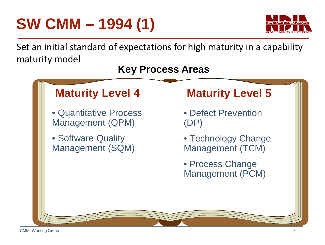## **SW CMM – 1994 (1)**



Set an initial standard of expectations for high maturity in a capability maturity model

### **Key Process Areas**

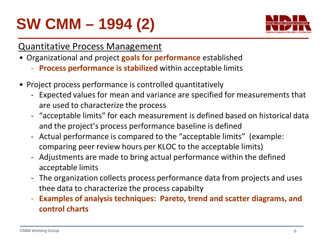# **SW CMM – 1994 (2)**



### Quantitative Process Management

- Organizational and project **goals for performance** established
	- **Process performance is stabilized** within acceptable limits
- Project process performance is controlled quantitatively
	- Expected values for mean and variance are specified for measurements that are used to characterize the process
	- "acceptable limits" for each measurement is defined based on historical data and the project's process performance baseline is defined
	- Actual performance is compared to the "acceptable limits" (example: comparing peer review hours per KLOC to the acceptable limits)
	- Adjustments are made to bring actual performance within the defined acceptable limits
	- The organization collects process performance data from projects and uses thee data to characterize the process capabilty
	- **Examples of analysis techniques: Pareto, trend and scatter diagrams, and control charts**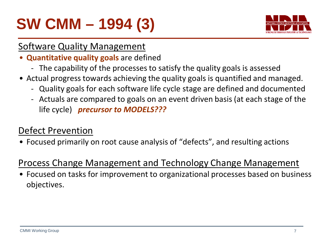## **SW CMM – 1994 (3)**



### Software Quality Management

- **Quantitative quality goals** are defined
	- The capability of the processes to satisfy the quality goals is assessed
- Actual progress towards achieving the quality goals is quantified and managed.
	- Quality goals for each software life cycle stage are defined and documented
	- Actuals are compared to goals on an event driven basis (at each stage of the life cycle) *precursor to MODELS???*

### Defect Prevention

• Focused primarily on root cause analysis of "defects", and resulting actions

### Process Change Management and Technology Change Management

• Focused on tasks for improvement to organizational processes based on business objectives.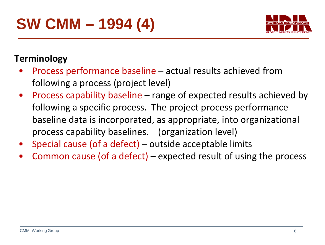

### **Terminology**

- Process performance baseline actual results achieved from following a process (project level)
- Process capability baseline range of expected results achieved by following a specific process. The project process performance baseline data is incorporated, as appropriate, into organizational process capability baselines. (organization level)
- Special cause (of a defect) outside acceptable limits
- Common cause (of a defect) expected result of using the process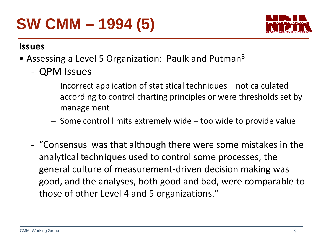## **SW CMM – 1994 (5)**



#### **Issues**

- Assessing a Level 5 Organization: Paulk and Putman<sup>3</sup>
	- QPM Issues
		- Incorrect application of statistical techniques not calculated according to control charting principles or were thresholds set by management
		- Some control limits extremely wide too wide to provide value
	- "Consensus was that although there were some mistakes in the analytical techniques used to control some processes, the general culture of measurement-driven decision making was good, and the analyses, both good and bad, were comparable to those of other Level 4 and 5 organizations."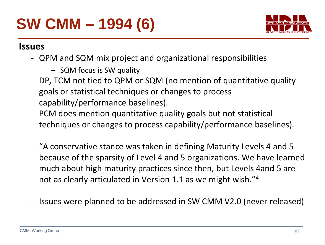## **SW CMM – 1994 (6)**



#### **Issues**

- QPM and SQM mix project and organizational responsibilities
	- SQM focus is SW quality
- DP, TCM not tied to QPM or SQM (no mention of quantitative quality goals or statistical techniques or changes to process capability/performance baselines).
- PCM does mention quantitative quality goals but not statistical techniques or changes to process capability/performance baselines).
- "A conservative stance was taken in defining Maturity Levels 4 and 5 because of the sparsity of Level 4 and 5 organizations. We have learned much about high maturity practices since then, but Levels 4and 5 are not as clearly articulated in Version 1.1 as we might wish."4
- Issues were planned to be addressed in SW CMM V2.0 (never released)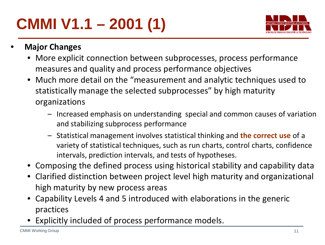# **CMMI V1.1 – 2001 (1)**



- **Major Changes**
	- More explicit connection between subprocesses, process performance measures and quality and process performance objectives
	- Much more detail on the "measurement and analytic techniques used to statistically manage the selected subprocesses" by high maturity organizations
		- Increased emphasis on understanding special and common causes of variation and stabilizing subprocess performance
		- Statistical management involves statistical thinking and **the correct use** of a variety of statistical techniques, such as run charts, control charts, confidence intervals, prediction intervals, and tests of hypotheses.
	- Composing the defined process using historical stability and capability data
	- Clarified distinction between project level high maturity and organizational high maturity by new process areas
	- Capability Levels 4 and 5 introduced with elaborations in the generic practices
	- Explicitly included of process performance models.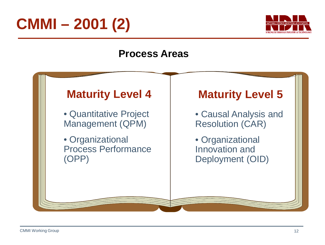



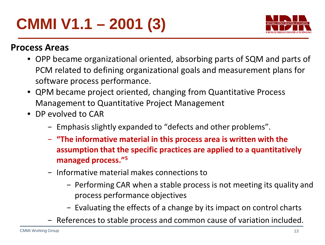## **CMMI V1.1 – 2001 (3)**



- OPP became organizational oriented, absorbing parts of SQM and parts of PCM related to defining organizational goals and measurement plans for software process performance.
- QPM became project oriented, changing from Quantitative Process Management to Quantitative Project Management
- DP evolved to CAR
	- − Emphasis slightly expanded to "defects and other problems".
	- − **"The informative material in this process area is written with the assumption that the specific practices are applied to a quantitatively managed process."5**
	- − Informative material makes connections to
		- − Performing CAR when a stable process is not meeting its quality and process performance objectives
		- − Evaluating the effects of a change by its impact on control charts
	- − References to stable process and common cause of variation included.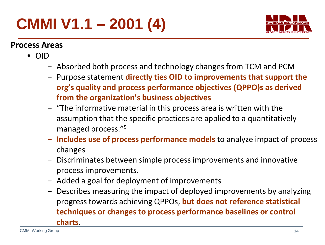## **CMMI V1.1 – 2001 (4)**



- OID
	- − Absorbed both process and technology changes from TCM and PCM
	- − Purpose statement **directly ties OID to improvements that support the org's quality and process performance objectives (QPPO)s as derived from the organization's business objectives**
	- − "The informative material in this process area is written with the assumption that the specific practices are applied to a quantitatively managed process."5
	- − **Includes use of process performance models** to analyze impact of process changes
	- − Discriminates between simple process improvements and innovative process improvements.
	- − Added a goal for deployment of improvements
	- − Describes measuring the impact of deployed improvements by analyzing progress towards achieving QPPOs, **but does not reference statistical techniques or changes to process performance baselines or control charts**.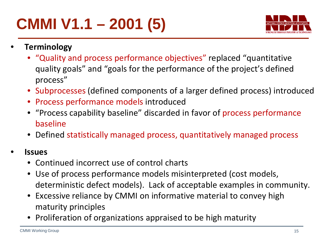## **CMMI V1.1 – 2001 (5)**



- **Terminology**
	- "Quality and process performance objectives" replaced "quantitative quality goals" and "goals for the performance of the project's defined process"
	- Subprocesses (defined components of a larger defined process) introduced
	- Process performance models introduced
	- "Process capability baseline" discarded in favor of process performance baseline
	- Defined statistically managed process, quantitatively managed process

#### • **Issues**

- Continued incorrect use of control charts
- Use of process performance models misinterpreted (cost models, deterministic defect models). Lack of acceptable examples in community.
- Excessive reliance by CMMI on informative material to convey high maturity principles
- Proliferation of organizations appraised to be high maturity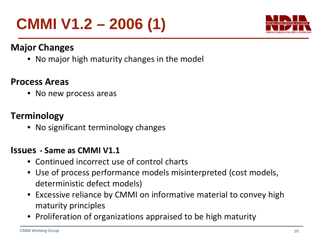## **CMMI V1.2 – 2006 (1)**



### **Major Changes**

• No major high maturity changes in the model

### **Process Areas**

• No new process areas

### **Terminology**

• No significant terminology changes

#### **Issues - Same as CMMI V1.1**

- Continued incorrect use of control charts
- Use of process performance models misinterpreted (cost models, deterministic defect models)
- Excessive reliance by CMMI on informative material to convey high maturity principles
- Proliferation of organizations appraised to be high maturity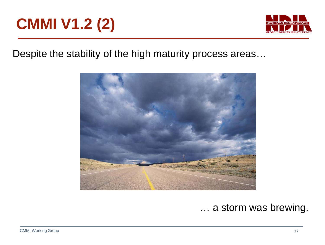## **CMMI V1.2 (2)**



Despite the stability of the high maturity process areas…



… a storm was brewing.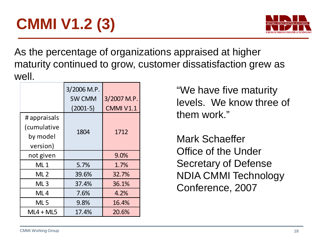# **CMMI V1.2 (3)**



As the percentage of organizations appraised at higher maturity continued to grow, customer dissatisfaction grew as well.

|                                                     | 3/2006 M.P.<br><b>SW CMM</b><br>$(2001-5)$ | 3/2007 M.P.<br>CMMI V1.1 |
|-----------------------------------------------------|--------------------------------------------|--------------------------|
| # appraisals<br>(cumulative<br>by model<br>version) | 1804                                       | 1712                     |
| not given                                           |                                            | 9.0%                     |
| ML <sub>1</sub>                                     | 5.7%                                       | 1.7%                     |
| ML <sub>2</sub>                                     | 39.6%                                      | 32.7%                    |
| ML <sub>3</sub>                                     | 37.4%                                      | 36.1%                    |
| ML 4                                                | 7.6%                                       | 4.2%                     |
| ML <sub>5</sub>                                     | 9.8%                                       | 16.4%                    |
| $ML4 + ML5$                                         | 17.4%                                      | 20.6%                    |

"We have five maturity levels. We know three of them work."

Mark Schaeffer Office of the Under Secretary of Defense NDIA CMMI Technology Conference, 2007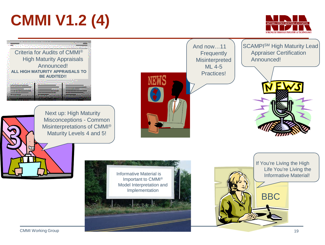## **CMMI V1.2 (4)**



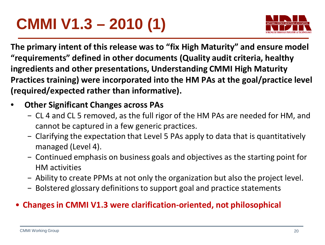## **CMMI V1.3 – 2010 (1)**



**The primary intent of this release was to "fix High Maturity" and ensure model "requirements" defined in other documents (Quality audit criteria, healthy ingredients and other presentations, Understanding CMMI High Maturity Practices training) were incorporated into the HM PAs at the goal/practice level (required/expected rather than informative).**

### • **Other Significant Changes across PAs**

- − CL 4 and CL 5 removed, as the full rigor of the HM PAs are needed for HM, and cannot be captured in a few generic practices.
- − Clarifying the expectation that Level 5 PAs apply to data that is quantitatively managed (Level 4).
- − Continued emphasis on business goals and objectives as the starting point for HM activities
- − Ability to create PPMs at not only the organization but also the project level.
- − Bolstered glossary definitions to support goal and practice statements

### • **Changes in CMMI V1.3 were clarification-oriented, not philosophical**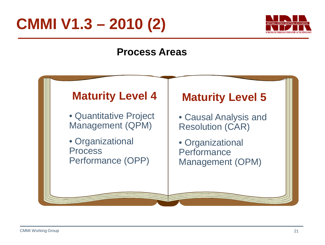## **CMMI V1.3 – 2010 (2)**



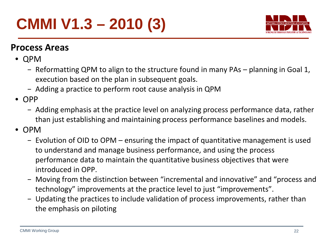## **CMMI V1.3 – 2010 (3)**



- QPM
	- − Reformatting QPM to align to the structure found in many PAs planning in Goal 1, execution based on the plan in subsequent goals.
	- − Adding a practice to perform root cause analysis in QPM
- OPP
	- − Adding emphasis at the practice level on analyzing process performance data, rather than just establishing and maintaining process performance baselines and models.
- OPM
	- − Evolution of OID to OPM ensuring the impact of quantitative management is used to understand and manage business performance, and using the process performance data to maintain the quantitative business objectives that were introduced in OPP.
	- − Moving from the distinction between "incremental and innovative" and "process and technology" improvements at the practice level to just "improvements".
	- − Updating the practices to include validation of process improvements, rather than the emphasis on piloting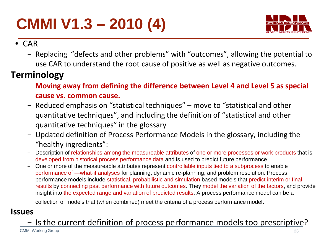# **CMMI V1.3 – 2010 (4)**



- CAR
	- − Replacing "defects and other problems" with "outcomes", allowing the potential to use CAR to understand the root cause of positive as well as negative outcomes.

### **Terminology**

- − **Moving away from defining the difference between Level 4 and Level 5 as special cause vs. common cause.**
- − Reduced emphasis on "statistical techniques" move to "statistical and other quantitative techniques", and including the definition of "statistical and other quantitative techniques" in the glossary
- − Updated definition of Process Performance Models in the glossary, including the "healthy ingredients":
- − Description of relationships among the measureable attributes of one or more processes or work products that is developed from historical process performance data and is used to predict future performance
- One or more of the measureable attributes represent controllable inputs tied to a subprocess to enable performance of ―what-if analyses for planning, dynamic re-planning, and problem resolution. Process performance models include statistical, probabilistic and simulation based models that predict interim or final results by connecting past performance with future outcomes. They model the variation of the factors, and provide insight into the expected range and variation of predicted results. A process performance model can be a

collection of models that (when combined) meet the criteria of a process performance model.

#### **Issues**

#### CMMI Working Group 23 − Is the current definition of process performance models too prescriptive?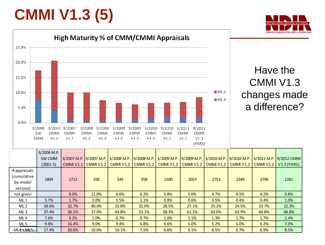## **CMMI V1.3 (5)**





### Have the CMMI V1.3 changes made a difference?

|                 | 3/2006 M.P. |           |           |                                                                                                 |                  |                  |                  |                  |                  |                  |                         |
|-----------------|-------------|-----------|-----------|-------------------------------------------------------------------------------------------------|------------------|------------------|------------------|------------------|------------------|------------------|-------------------------|
|                 | SW CMM      |           |           | 3/2007 M.P. 9/2007 M.P. 3/2008 M.P. 9/2008 M.P. 3/2009 M.P. 9/2009 M.P. 3/2010 M.P. 9/2010 M.P. |                  |                  |                  |                  |                  |                  | 3/2011 M.P. 9/2012 CMMI |
|                 | (2001-5)    | CMMI V1.1 | CMMI V1.2 | <b>CMMI V1.2</b>                                                                                | <b>CMMI V1.2</b> | <b>CMMI V1.2</b> | <b>CMMI V1.2</b> | <b>CMMI V1.2</b> | <b>CMMI V1.2</b> | <b>CMMI V1.2</b> | $V1.3$ (PARS)           |
| # appraisals    |             |           |           |                                                                                                 |                  |                  |                  |                  |                  |                  |                         |
| (cumulative     |             |           |           |                                                                                                 |                  |                  |                  |                  |                  |                  |                         |
| by model        | 1804        | 1712      | 100       | 545                                                                                             | 958              | 1500             | 2053             | 2753             | 3284             | 3798             | 1281                    |
| version)        |             |           |           |                                                                                                 |                  |                  |                  |                  |                  |                  |                         |
| not given       |             | 9.0%      | 11.0%     | 6.6%                                                                                            | 6.2%             | 5.8%             | 5.0%             | 4.7%             | 4.5%             | 4.2%             | 0.8%                    |
| ML1             | 5.7%        | 1.7%      | 2.0%      | 1.5%                                                                                            | 1.1%             | 0.8%             | 0.6%             | 0.5%             | 0.4%             | 0.4%             | 1.0%                    |
| ML <sub>2</sub> | 39.6%       | 32.7%     | 40.0%     | 33.6%                                                                                           | 32.0%            | 28.5%            | 27.1%            | 25.2%            | 24.5%            | 23.7%            | 22.3%                   |
| ML3             | 37.4%       | 36.1%     | 37.0%     | 43.8%                                                                                           | 53.1%            | 58.3%            | 61.1%            | 63.0%            | 63.9%            | 64.8%            | 68.8%                   |
| ML4             | 7.6%        | 4.2%      | 1.0%      | 0.7%                                                                                            | 0.7%             | 1.0%             | 1.1%             | 1.3%             | 1.7%             | 1.7%             | 1.4%                    |
| ML 5            | 9.8%        | 16.4%     | 9.0%      | 9.4%                                                                                            | 6.8%             | 5.6%             | 5.0%             | 5.2%             | 5.0%             | 5.2%             | 7.0%                    |
| ML4C+MWIL5/Vo   | 17.4%       | 20.6%     | 10.0%     | 10.1%                                                                                           | 7.5%             | 6.6%             | 6.1%             | 6.5%             | 6.7%             | 6.9%             | 8.5%                    |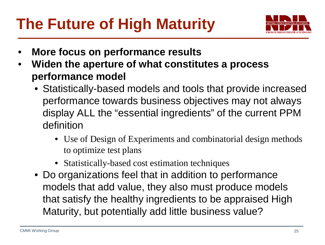## **The Future of High Maturity**



- **More focus on performance results**
- **Widen the aperture of what constitutes a process performance model**
	- Statistically-based models and tools that provide increased performance towards business objectives may not always display ALL the "essential ingredients" of the current PPM definition
		- Use of Design of Experiments and combinatorial design methods to optimize test plans
		- Statistically-based cost estimation techniques
	- Do organizations feel that in addition to performance models that add value, they also must produce models that satisfy the healthy ingredients to be appraised High Maturity, but potentially add little business value?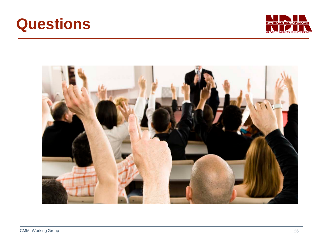



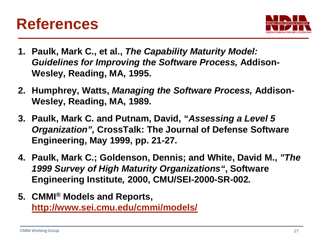

- **1. Paulk, Mark C., et al.,** *The Capability Maturity Model: Guidelines for Improving the Software Process,* **Addison-Wesley, Reading, MA, 1995.**
- **2. Humphrey, Watts,** *Managing the Software Process,* **Addison-Wesley, Reading, MA, 1989.**
- **3. Paulk, Mark C. and Putnam, David, "***Assessing a Level 5 Organization",* **CrossTalk: The Journal of Defense Software Engineering, May 1999, pp. 21-27.**
- **4. Paulk, Mark C.; Goldenson, Dennis; and White, David M.,** *"The 1999 Survey of High Maturity Organizations"***, Software Engineering Institute***,* **2000, CMU/SEI-2000-SR-002***.*
- **5. CMMI® Models and Reports, <http://www.sei.cmu.edu/cmmi/models/>**